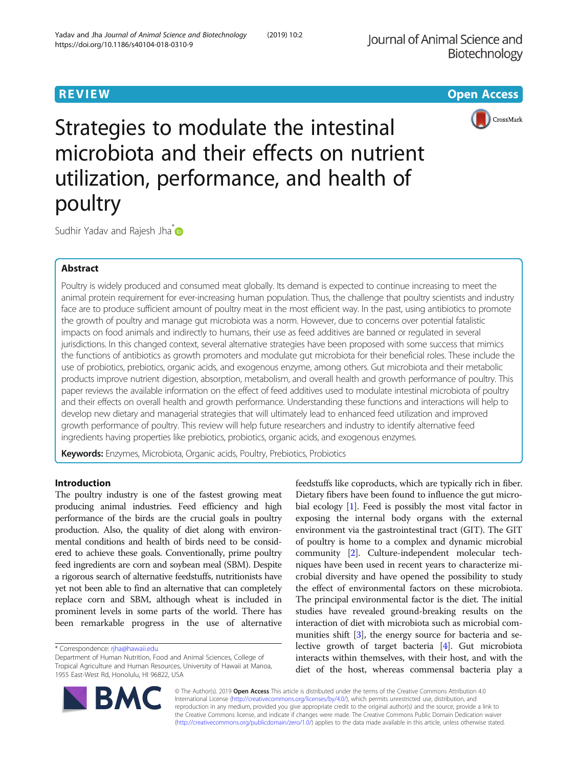# **REVIEW CONTROL** CONTROL CONTROL CONTROL CONTROL CONTROL CONTROL CONTROL CONTROL CONTROL CONTROL CONTROL CONTROL



Strategies to modulate the intestinal microbiota and their effects on nutrient utilization, performance, and health of poultry

Sudhir Yadav and Rajesh Jha<sup>[\\*](http://orcid.org/0000-0002-2891-8353)</sup>

# Abstract

Poultry is widely produced and consumed meat globally. Its demand is expected to continue increasing to meet the animal protein requirement for ever-increasing human population. Thus, the challenge that poultry scientists and industry face are to produce sufficient amount of poultry meat in the most efficient way. In the past, using antibiotics to promote the growth of poultry and manage gut microbiota was a norm. However, due to concerns over potential fatalistic impacts on food animals and indirectly to humans, their use as feed additives are banned or regulated in several jurisdictions. In this changed context, several alternative strategies have been proposed with some success that mimics the functions of antibiotics as growth promoters and modulate gut microbiota for their beneficial roles. These include the use of probiotics, prebiotics, organic acids, and exogenous enzyme, among others. Gut microbiota and their metabolic products improve nutrient digestion, absorption, metabolism, and overall health and growth performance of poultry. This paper reviews the available information on the effect of feed additives used to modulate intestinal microbiota of poultry and their effects on overall health and growth performance. Understanding these functions and interactions will help to develop new dietary and managerial strategies that will ultimately lead to enhanced feed utilization and improved growth performance of poultry. This review will help future researchers and industry to identify alternative feed ingredients having properties like prebiotics, probiotics, organic acids, and exogenous enzymes.

Keywords: Enzymes, Microbiota, Organic acids, Poultry, Prebiotics, Probiotics

# Introduction

The poultry industry is one of the fastest growing meat producing animal industries. Feed efficiency and high performance of the birds are the crucial goals in poultry production. Also, the quality of diet along with environmental conditions and health of birds need to be considered to achieve these goals. Conventionally, prime poultry feed ingredients are corn and soybean meal (SBM). Despite a rigorous search of alternative feedstuffs, nutritionists have yet not been able to find an alternative that can completely replace corn and SBM, although wheat is included in prominent levels in some parts of the world. There has been remarkable progress in the use of alternative

feedstuffs like coproducts, which are typically rich in fiber. Dietary fibers have been found to influence the gut microbial ecology [\[1\]](#page-9-0). Feed is possibly the most vital factor in exposing the internal body organs with the external environment via the gastrointestinal tract (GIT). The GIT of poultry is home to a complex and dynamic microbial community [\[2](#page-9-0)]. Culture-independent molecular techniques have been used in recent years to characterize microbial diversity and have opened the possibility to study the effect of environmental factors on these microbiota. The principal environmental factor is the diet. The initial studies have revealed ground-breaking results on the interaction of diet with microbiota such as microbial communities shift [\[3](#page-9-0)], the energy source for bacteria and selective growth of target bacteria [\[4](#page-9-0)]. Gut microbiota interacts within themselves, with their host, and with the diet of the host, whereas commensal bacteria play a



© The Author(s). 2019 **Open Access** This article is distributed under the terms of the Creative Commons Attribution 4.0 International License [\(http://creativecommons.org/licenses/by/4.0/](http://creativecommons.org/licenses/by/4.0/)), which permits unrestricted use, distribution, and reproduction in any medium, provided you give appropriate credit to the original author(s) and the source, provide a link to the Creative Commons license, and indicate if changes were made. The Creative Commons Public Domain Dedication waiver [\(http://creativecommons.org/publicdomain/zero/1.0/](http://creativecommons.org/publicdomain/zero/1.0/)) applies to the data made available in this article, unless otherwise stated.

<sup>\*</sup> Correspondence: [rjha@hawaii.edu](mailto:rjha@hawaii.edu)

Department of Human Nutrition, Food and Animal Sciences, College of Tropical Agriculture and Human Resources, University of Hawaii at Manoa, 1955 East-West Rd, Honolulu, HI 96822, USA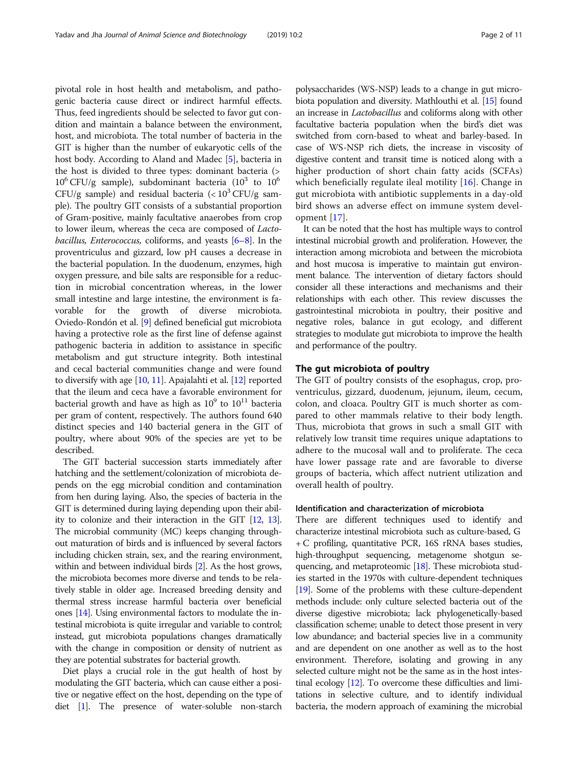pivotal role in host health and metabolism, and pathogenic bacteria cause direct or indirect harmful effects. Thus, feed ingredients should be selected to favor gut condition and maintain a balance between the environment, host, and microbiota. The total number of bacteria in the GIT is higher than the number of eukaryotic cells of the host body. According to Aland and Madec [\[5](#page-9-0)], bacteria in the host is divided to three types: dominant bacteria (>  $10^6$  CFU/g sample), subdominant bacteria ( $10^3$  to  $10^6$ ) CFU/g sample) and residual bacteria  $(< 10<sup>3</sup>$  CFU/g sample). The poultry GIT consists of a substantial proportion of Gram-positive, mainly facultative anaerobes from crop to lower ileum, whereas the ceca are composed of Lacto*bacillus, Enterococcus,* coliforms, and yeasts  $[6-8]$  $[6-8]$  $[6-8]$  $[6-8]$ . In the proventriculus and gizzard, low pH causes a decrease in the bacterial population. In the duodenum, enzymes, high oxygen pressure, and bile salts are responsible for a reduction in microbial concentration whereas, in the lower small intestine and large intestine, the environment is favorable for the growth of diverse microbiota. Oviedo-Rondón et al. [\[9](#page-9-0)] defined beneficial gut microbiota having a protective role as the first line of defense against pathogenic bacteria in addition to assistance in specific metabolism and gut structure integrity. Both intestinal and cecal bacterial communities change and were found to diversify with age [\[10,](#page-9-0) [11\]](#page-9-0). Apajalahti et al. [\[12\]](#page-9-0) reported that the ileum and ceca have a favorable environment for bacterial growth and have as high as  $10^9$  to  $10^{11}$  bacteria per gram of content, respectively. The authors found 640 distinct species and 140 bacterial genera in the GIT of poultry, where about 90% of the species are yet to be described.

The GIT bacterial succession starts immediately after hatching and the settlement/colonization of microbiota depends on the egg microbial condition and contamination from hen during laying. Also, the species of bacteria in the GIT is determined during laying depending upon their ability to colonize and their interaction in the GIT [\[12,](#page-9-0) [13](#page-9-0)]. The microbial community (MC) keeps changing throughout maturation of birds and is influenced by several factors including chicken strain, sex, and the rearing environment, within and between individual birds [\[2\]](#page-9-0). As the host grows, the microbiota becomes more diverse and tends to be relatively stable in older age. Increased breeding density and thermal stress increase harmful bacteria over beneficial ones [[14](#page-9-0)]. Using environmental factors to modulate the intestinal microbiota is quite irregular and variable to control; instead, gut microbiota populations changes dramatically with the change in composition or density of nutrient as they are potential substrates for bacterial growth.

Diet plays a crucial role in the gut health of host by modulating the GIT bacteria, which can cause either a positive or negative effect on the host, depending on the type of diet [\[1](#page-9-0)]. The presence of water-soluble non-starch

polysaccharides (WS-NSP) leads to a change in gut microbiota population and diversity. Mathlouthi et al. [\[15](#page-9-0)] found an increase in Lactobacillus and coliforms along with other facultative bacteria population when the bird's diet was switched from corn-based to wheat and barley-based. In case of WS-NSP rich diets, the increase in viscosity of digestive content and transit time is noticed along with a higher production of short chain fatty acids (SCFAs) which beneficially regulate ileal motility  $[16]$ . Change in gut microbiota with antibiotic supplements in a day-old bird shows an adverse effect on immune system development [[17\]](#page-9-0).

It can be noted that the host has multiple ways to control intestinal microbial growth and proliferation. However, the interaction among microbiota and between the microbiota and host mucosa is imperative to maintain gut environment balance. The intervention of dietary factors should consider all these interactions and mechanisms and their relationships with each other. This review discusses the gastrointestinal microbiota in poultry, their positive and negative roles, balance in gut ecology, and different strategies to modulate gut microbiota to improve the health and performance of the poultry.

### The gut microbiota of poultry

The GIT of poultry consists of the esophagus, crop, proventriculus, gizzard, duodenum, jejunum, ileum, cecum, colon, and cloaca. Poultry GIT is much shorter as compared to other mammals relative to their body length. Thus, microbiota that grows in such a small GIT with relatively low transit time requires unique adaptations to adhere to the mucosal wall and to proliferate. The ceca have lower passage rate and are favorable to diverse groups of bacteria, which affect nutrient utilization and overall health of poultry.

#### Identification and characterization of microbiota

There are different techniques used to identify and characterize intestinal microbiota such as culture-based, G + C profiling, quantitative PCR, 16S rRNA bases studies, high-throughput sequencing, metagenome shotgun se-quencing, and metaproteomic [\[18](#page-9-0)]. These microbiota studies started in the 1970s with culture-dependent techniques [[19](#page-9-0)]. Some of the problems with these culture-dependent methods include: only culture selected bacteria out of the diverse digestive microbiota; lack phylogenetically-based classification scheme; unable to detect those present in very low abundance; and bacterial species live in a community and are dependent on one another as well as to the host environment. Therefore, isolating and growing in any selected culture might not be the same as in the host intestinal ecology [\[12\]](#page-9-0). To overcome these difficulties and limitations in selective culture, and to identify individual bacteria, the modern approach of examining the microbial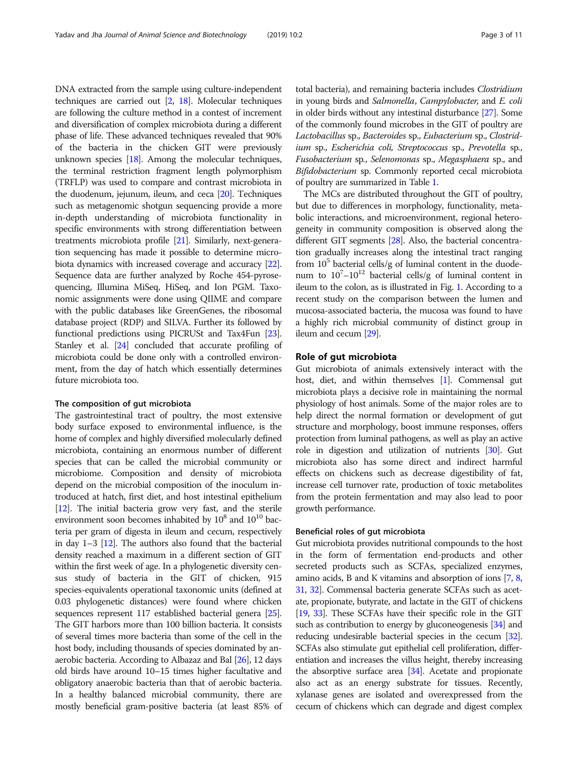DNA extracted from the sample using culture-independent techniques are carried out [\[2,](#page-9-0) [18\]](#page-9-0). Molecular techniques are following the culture method in a contest of increment and diversification of complex microbiota during a different phase of life. These advanced techniques revealed that 90% of the bacteria in the chicken GIT were previously unknown species [\[18](#page-9-0)]. Among the molecular techniques, the terminal restriction fragment length polymorphism (TRFLP) was used to compare and contrast microbiota in the duodenum, jejunum, ileum, and ceca [\[20](#page-9-0)]. Techniques such as metagenomic shotgun sequencing provide a more in-depth understanding of microbiota functionality in specific environments with strong differentiation between treatments microbiota profile [\[21](#page-9-0)]. Similarly, next-generation sequencing has made it possible to determine microbiota dynamics with increased coverage and accuracy [\[22](#page-9-0)]. Sequence data are further analyzed by Roche 454-pyrosequencing, Illumina MiSeq, HiSeq, and Ion PGM. Taxonomic assignments were done using QIIME and compare with the public databases like GreenGenes, the ribosomal database project (RDP) and SILVA. Further its followed by functional predictions using PICRUSt and Tax4Fun [\[23](#page-9-0)]. Stanley et al. [[24\]](#page-9-0) concluded that accurate profiling of microbiota could be done only with a controlled environment, from the day of hatch which essentially determines future microbiota too.

#### The composition of gut microbiota

The gastrointestinal tract of poultry, the most extensive body surface exposed to environmental influence, is the home of complex and highly diversified molecularly defined microbiota, containing an enormous number of different species that can be called the microbial community or microbiome. Composition and density of microbiota depend on the microbial composition of the inoculum introduced at hatch, first diet, and host intestinal epithelium [[12](#page-9-0)]. The initial bacteria grow very fast, and the sterile environment soon becomes inhabited by  $10^8$  and  $10^{10}$  bacteria per gram of digesta in ileum and cecum, respectively in day 1–3 [[12](#page-9-0)]. The authors also found that the bacterial density reached a maximum in a different section of GIT within the first week of age. In a phylogenetic diversity census study of bacteria in the GIT of chicken, 915 species-equivalents operational taxonomic units (defined at 0.03 phylogenetic distances) were found where chicken sequences represent 117 established bacterial genera [\[25](#page-9-0)]. The GIT harbors more than 100 billion bacteria. It consists of several times more bacteria than some of the cell in the host body, including thousands of species dominated by anaerobic bacteria. According to Albazaz and Bal [\[26\]](#page-9-0), 12 days old birds have around 10–15 times higher facultative and obligatory anaerobic bacteria than that of aerobic bacteria. In a healthy balanced microbial community, there are mostly beneficial gram-positive bacteria (at least 85% of total bacteria), and remaining bacteria includes Clostridium in young birds and Salmonella, Campylobacter, and E. coli in older birds without any intestinal disturbance [\[27\]](#page-9-0). Some of the commonly found microbes in the GIT of poultry are Lactobacillus sp., Bacteroides sp., Eubacterium sp., Clostridium sp., Escherichia coli, Streptococcus sp., Prevotella sp., Fusobacterium sp., Selenomonas sp., Megasphaera sp., and Bifidobacterium sp. Commonly reported cecal microbiota of poultry are summarized in Table [1](#page-3-0).

The MCs are distributed throughout the GIT of poultry, but due to differences in morphology, functionality, metabolic interactions, and microenvironment, regional heterogeneity in community composition is observed along the different GIT segments [\[28\]](#page-9-0). Also, the bacterial concentration gradually increases along the intestinal tract ranging from  $10<sup>5</sup>$  bacterial cells/g of luminal content in the duodenum to  $10^{7}-10^{12}$  bacterial cells/g of luminal content in ileum to the colon, as is illustrated in Fig. [1](#page-3-0). According to a recent study on the comparison between the lumen and mucosa-associated bacteria, the mucosa was found to have a highly rich microbial community of distinct group in ileum and cecum [\[29\]](#page-9-0).

#### Role of gut microbiota

Gut microbiota of animals extensively interact with the host, diet, and within themselves [\[1](#page-9-0)]. Commensal gut microbiota plays a decisive role in maintaining the normal physiology of host animals. Some of the major roles are to help direct the normal formation or development of gut structure and morphology, boost immune responses, offers protection from luminal pathogens, as well as play an active role in digestion and utilization of nutrients [\[30](#page-9-0)]. Gut microbiota also has some direct and indirect harmful effects on chickens such as decrease digestibility of fat, increase cell turnover rate, production of toxic metabolites from the protein fermentation and may also lead to poor growth performance.

#### Beneficial roles of gut microbiota

Gut microbiota provides nutritional compounds to the host in the form of fermentation end-products and other secreted products such as SCFAs, specialized enzymes, amino acids, B and K vitamins and absorption of ions [\[7,](#page-9-0) [8](#page-9-0), [31](#page-9-0), [32\]](#page-9-0). Commensal bacteria generate SCFAs such as acetate, propionate, butyrate, and lactate in the GIT of chickens [[19](#page-9-0), [33](#page-9-0)]. These SCFAs have their specific role in the GIT such as contribution to energy by gluconeogenesis [[34](#page-9-0)] and reducing undesirable bacterial species in the cecum [\[32](#page-9-0)]. SCFAs also stimulate gut epithelial cell proliferation, differentiation and increases the villus height, thereby increasing the absorptive surface area [\[34\]](#page-9-0). Acetate and propionate also act as an energy substrate for tissues. Recently, xylanase genes are isolated and overexpressed from the cecum of chickens which can degrade and digest complex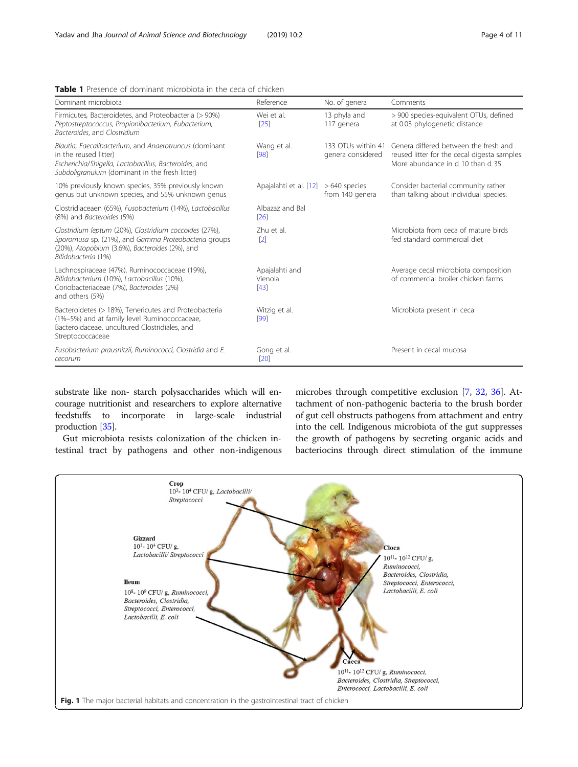<span id="page-3-0"></span>

| <b>Table 1</b> Presence of dominant microbiota in the ceca of chicken |  |
|-----------------------------------------------------------------------|--|
|-----------------------------------------------------------------------|--|

| Dominant microbiota                                                                                                                                                                        | Reference                           | No. of genera                           | Comments                                                                                                                  |
|--------------------------------------------------------------------------------------------------------------------------------------------------------------------------------------------|-------------------------------------|-----------------------------------------|---------------------------------------------------------------------------------------------------------------------------|
| Firmicutes, Bacteroidetes, and Proteobacteria (> 90%)<br>Peptostreptococcus, Propionibacterium, Eubacterium,<br>Bacteroides, and Clostridium                                               | Wei et al.<br>[25]                  | 13 phyla and<br>117 genera              | > 900 species-equivalent OTUs, defined<br>at 0.03 phylogenetic distance                                                   |
| Blautia, Faecalibacterium, and Anaerotruncus (dominant<br>in the reused litter)<br>Escherichia/Shigella, Lactobacillus, Bacteroides, and<br>Subdoligranulum (dominant in the fresh litter) | Wang et al.<br>[98]                 | 133 OTUs within 41<br>genera considered | Genera differed between the fresh and<br>reused litter for the cecal digesta samples.<br>More abundance in d 10 than d 35 |
| 10% previously known species, 35% previously known<br>genus but unknown species, and 55% unknown genus                                                                                     | Apajalahti et al. [12]              | > 640 species<br>from 140 genera        | Consider bacterial community rather<br>than talking about individual species.                                             |
| Clostridiaceaen (65%), Fusobacterium (14%), Lactobacillus<br>(8%) and Bacteroides (5%)                                                                                                     | Albazaz and Bal<br>[26]             |                                         |                                                                                                                           |
| Clostridium leptum (20%), Clostridium coccoides (27%),<br>Sporomusa sp. (21%), and Gamma Proteobacteria groups<br>(20%), Atopobium (3.6%), Bacteroides (2%), and<br>Bifidobacteria (1%)    | 7hu et al.<br>$\lceil 2 \rceil$     |                                         | Microbiota from ceca of mature birds<br>fed standard commercial diet                                                      |
| Lachnospiraceae (47%), Ruminococcaceae (19%),<br>Bifidobacterium (10%), Lactobacillus (10%),<br>Coriobacteriaceae (7%), Bacteroides (2%)<br>and others (5%)                                | Apajalahti and<br>Vienola<br>$[43]$ |                                         | Average cecal microbiota composition<br>of commercial broiler chicken farms                                               |
| Bacteroidetes (> 18%), Tenericutes and Proteobacteria<br>(1%-5%) and at family level Ruminococcaceae,<br>Bacteroidaceae, uncultured Clostridiales, and<br>Streptococcaceae                 | Witzig et al.<br>[99]               |                                         | Microbiota present in ceca                                                                                                |
| Fusobacterium prausnitzii, Ruminococci, Clostridia and E.<br>cecorum                                                                                                                       | Gong et al.<br>[20]                 |                                         | Present in cecal mucosa                                                                                                   |

substrate like non- starch polysaccharides which will encourage nutritionist and researchers to explore alternative feedstuffs to incorporate in large-scale industrial production [[35](#page-9-0)].

Gut microbiota resists colonization of the chicken intestinal tract by pathogens and other non-indigenous

microbes through competitive exclusion [\[7](#page-9-0), [32](#page-9-0), [36](#page-9-0)]. Attachment of non-pathogenic bacteria to the brush border of gut cell obstructs pathogens from attachment and entry into the cell. Indigenous microbiota of the gut suppresses the growth of pathogens by secreting organic acids and bacteriocins through direct stimulation of the immune

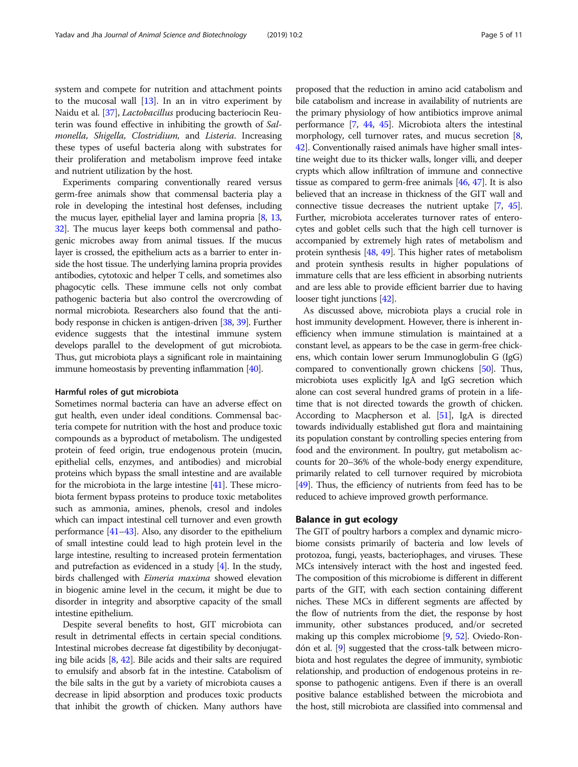system and compete for nutrition and attachment points to the mucosal wall  $[13]$  $[13]$ . In an in vitro experiment by Naidu et al. [[37](#page-9-0)], Lactobacillus producing bacteriocin Reuterin was found effective in inhibiting the growth of Salmonella, Shigella, Clostridium, and Listeria. Increasing these types of useful bacteria along with substrates for their proliferation and metabolism improve feed intake and nutrient utilization by the host.

Experiments comparing conventionally reared versus germ-free animals show that commensal bacteria play a role in developing the intestinal host defenses, including the mucus layer, epithelial layer and lamina propria [[8](#page-9-0), [13](#page-9-0), [32](#page-9-0)]. The mucus layer keeps both commensal and pathogenic microbes away from animal tissues. If the mucus layer is crossed, the epithelium acts as a barrier to enter inside the host tissue. The underlying lamina propria provides antibodies, cytotoxic and helper T cells, and sometimes also phagocytic cells. These immune cells not only combat pathogenic bacteria but also control the overcrowding of normal microbiota. Researchers also found that the antibody response in chicken is antigen-driven [[38](#page-9-0), [39](#page-9-0)]. Further evidence suggests that the intestinal immune system develops parallel to the development of gut microbiota. Thus, gut microbiota plays a significant role in maintaining immune homeostasis by preventing inflammation [[40](#page-9-0)].

## Harmful roles of gut microbiota

Sometimes normal bacteria can have an adverse effect on gut health, even under ideal conditions. Commensal bacteria compete for nutrition with the host and produce toxic compounds as a byproduct of metabolism. The undigested protein of feed origin, true endogenous protein (mucin, epithelial cells, enzymes, and antibodies) and microbial proteins which bypass the small intestine and are available for the microbiota in the large intestine [[41](#page-9-0)]. These microbiota ferment bypass proteins to produce toxic metabolites such as ammonia, amines, phenols, cresol and indoles which can impact intestinal cell turnover and even growth performance [\[41](#page-9-0)–[43\]](#page-9-0). Also, any disorder to the epithelium of small intestine could lead to high protein level in the large intestine, resulting to increased protein fermentation and putrefaction as evidenced in a study  $[4]$  $[4]$ . In the study, birds challenged with *Eimeria maxima* showed elevation in biogenic amine level in the cecum, it might be due to disorder in integrity and absorptive capacity of the small intestine epithelium.

Despite several benefits to host, GIT microbiota can result in detrimental effects in certain special conditions. Intestinal microbes decrease fat digestibility by deconjugating bile acids [[8,](#page-9-0) [42](#page-9-0)]. Bile acids and their salts are required to emulsify and absorb fat in the intestine. Catabolism of the bile salts in the gut by a variety of microbiota causes a decrease in lipid absorption and produces toxic products that inhibit the growth of chicken. Many authors have

proposed that the reduction in amino acid catabolism and bile catabolism and increase in availability of nutrients are the primary physiology of how antibiotics improve animal performance [[7,](#page-9-0) [44,](#page-9-0) [45](#page-9-0)]. Microbiota alters the intestinal morphology, cell turnover rates, and mucus secretion [[8](#page-9-0), [42](#page-9-0)]. Conventionally raised animals have higher small intestine weight due to its thicker walls, longer villi, and deeper crypts which allow infiltration of immune and connective tissue as compared to germ-free animals [[46](#page-9-0), [47\]](#page-9-0). It is also believed that an increase in thickness of the GIT wall and connective tissue decreases the nutrient uptake [\[7,](#page-9-0) [45](#page-9-0)]. Further, microbiota accelerates turnover rates of enterocytes and goblet cells such that the high cell turnover is accompanied by extremely high rates of metabolism and protein synthesis [\[48](#page-9-0), [49](#page-9-0)]. This higher rates of metabolism and protein synthesis results in higher populations of immature cells that are less efficient in absorbing nutrients and are less able to provide efficient barrier due to having looser tight junctions [\[42](#page-9-0)].

As discussed above, microbiota plays a crucial role in host immunity development. However, there is inherent inefficiency when immune stimulation is maintained at a constant level, as appears to be the case in germ-free chickens, which contain lower serum Immunoglobulin G (IgG) compared to conventionally grown chickens [\[50\]](#page-10-0). Thus, microbiota uses explicitly IgA and IgG secretion which alone can cost several hundred grams of protein in a lifetime that is not directed towards the growth of chicken. According to Macpherson et al. [\[51](#page-10-0)], IgA is directed towards individually established gut flora and maintaining its population constant by controlling species entering from food and the environment. In poultry, gut metabolism accounts for 20–36% of the whole-body energy expenditure, primarily related to cell turnover required by microbiota [[49](#page-9-0)]. Thus, the efficiency of nutrients from feed has to be reduced to achieve improved growth performance.

# Balance in gut ecology

The GIT of poultry harbors a complex and dynamic microbiome consists primarily of bacteria and low levels of protozoa, fungi, yeasts, bacteriophages, and viruses. These MCs intensively interact with the host and ingested feed. The composition of this microbiome is different in different parts of the GIT, with each section containing different niches. These MCs in different segments are affected by the flow of nutrients from the diet, the response by host immunity, other substances produced, and/or secreted making up this complex microbiome [\[9,](#page-9-0) [52\]](#page-10-0). Oviedo-Rondón et al. [[9](#page-9-0)] suggested that the cross-talk between microbiota and host regulates the degree of immunity, symbiotic relationship, and production of endogenous proteins in response to pathogenic antigens. Even if there is an overall positive balance established between the microbiota and the host, still microbiota are classified into commensal and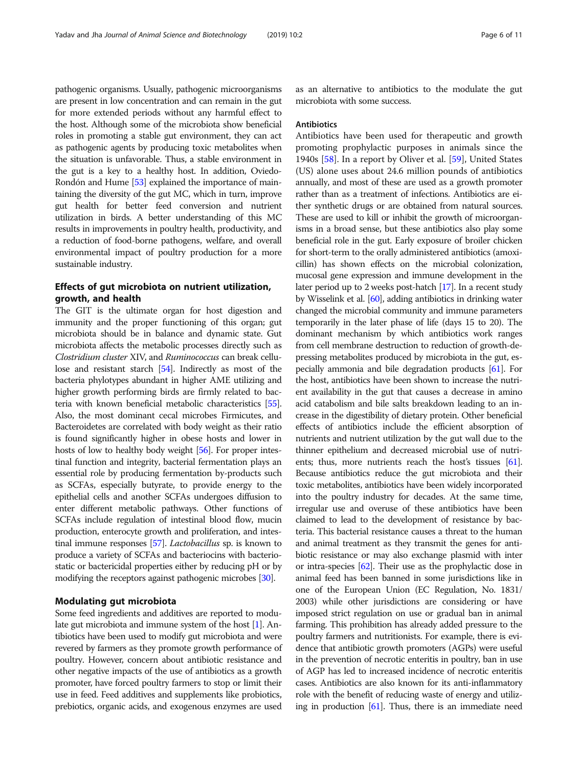pathogenic organisms. Usually, pathogenic microorganisms are present in low concentration and can remain in the gut for more extended periods without any harmful effect to the host. Although some of the microbiota show beneficial roles in promoting a stable gut environment, they can act as pathogenic agents by producing toxic metabolites when the situation is unfavorable. Thus, a stable environment in the gut is a key to a healthy host. In addition, Oviedo-Rondón and Hume [[53](#page-10-0)] explained the importance of maintaining the diversity of the gut MC, which in turn, improve gut health for better feed conversion and nutrient utilization in birds. A better understanding of this MC results in improvements in poultry health, productivity, and a reduction of food-borne pathogens, welfare, and overall environmental impact of poultry production for a more sustainable industry.

# Effects of gut microbiota on nutrient utilization, growth, and health

The GIT is the ultimate organ for host digestion and immunity and the proper functioning of this organ; gut microbiota should be in balance and dynamic state. Gut microbiota affects the metabolic processes directly such as Clostridium cluster XIV, and Ruminococcus can break cellulose and resistant starch [\[54](#page-10-0)]. Indirectly as most of the bacteria phylotypes abundant in higher AME utilizing and higher growth performing birds are firmly related to bacteria with known beneficial metabolic characteristics [\[55](#page-10-0)]. Also, the most dominant cecal microbes Firmicutes, and Bacteroidetes are correlated with body weight as their ratio is found significantly higher in obese hosts and lower in hosts of low to healthy body weight [\[56](#page-10-0)]. For proper intestinal function and integrity, bacterial fermentation plays an essential role by producing fermentation by-products such as SCFAs, especially butyrate, to provide energy to the epithelial cells and another SCFAs undergoes diffusion to enter different metabolic pathways. Other functions of SCFAs include regulation of intestinal blood flow, mucin production, enterocyte growth and proliferation, and intestinal immune responses [\[57\]](#page-10-0). Lactobacillus sp. is known to produce a variety of SCFAs and bacteriocins with bacteriostatic or bactericidal properties either by reducing pH or by modifying the receptors against pathogenic microbes [\[30\]](#page-9-0).

# Modulating gut microbiota

Some feed ingredients and additives are reported to modulate gut microbiota and immune system of the host [[1](#page-9-0)]. Antibiotics have been used to modify gut microbiota and were revered by farmers as they promote growth performance of poultry. However, concern about antibiotic resistance and other negative impacts of the use of antibiotics as a growth promoter, have forced poultry farmers to stop or limit their use in feed. Feed additives and supplements like probiotics, prebiotics, organic acids, and exogenous enzymes are used as an alternative to antibiotics to the modulate the gut microbiota with some success.

## Antibiotics

Antibiotics have been used for therapeutic and growth promoting prophylactic purposes in animals since the 1940s [\[58](#page-10-0)]. In a report by Oliver et al. [[59\]](#page-10-0), United States (US) alone uses about 24.6 million pounds of antibiotics annually, and most of these are used as a growth promoter rather than as a treatment of infections. Antibiotics are either synthetic drugs or are obtained from natural sources. These are used to kill or inhibit the growth of microorganisms in a broad sense, but these antibiotics also play some beneficial role in the gut. Early exposure of broiler chicken for short-term to the orally administered antibiotics (amoxicillin) has shown effects on the microbial colonization, mucosal gene expression and immune development in the later period up to 2 weeks post-hatch [\[17\]](#page-9-0). In a recent study by Wisselink et al. [[60](#page-10-0)], adding antibiotics in drinking water changed the microbial community and immune parameters temporarily in the later phase of life (days 15 to 20). The dominant mechanism by which antibiotics work ranges from cell membrane destruction to reduction of growth-depressing metabolites produced by microbiota in the gut, especially ammonia and bile degradation products [[61](#page-10-0)]. For the host, antibiotics have been shown to increase the nutrient availability in the gut that causes a decrease in amino acid catabolism and bile salts breakdown leading to an increase in the digestibility of dietary protein. Other beneficial effects of antibiotics include the efficient absorption of nutrients and nutrient utilization by the gut wall due to the thinner epithelium and decreased microbial use of nutri-ents; thus, more nutrients reach the host's tissues [\[61](#page-10-0)]. Because antibiotics reduce the gut microbiota and their toxic metabolites, antibiotics have been widely incorporated into the poultry industry for decades. At the same time, irregular use and overuse of these antibiotics have been claimed to lead to the development of resistance by bacteria. This bacterial resistance causes a threat to the human and animal treatment as they transmit the genes for antibiotic resistance or may also exchange plasmid with inter or intra-species [\[62](#page-10-0)]. Their use as the prophylactic dose in animal feed has been banned in some jurisdictions like in one of the European Union (EC Regulation, No. 1831/ 2003) while other jurisdictions are considering or have imposed strict regulation on use or gradual ban in animal farming. This prohibition has already added pressure to the poultry farmers and nutritionists. For example, there is evidence that antibiotic growth promoters (AGPs) were useful in the prevention of necrotic enteritis in poultry, ban in use of AGP has led to increased incidence of necrotic enteritis cases. Antibiotics are also known for its anti-inflammatory role with the benefit of reducing waste of energy and utilizing in production [[61\]](#page-10-0). Thus, there is an immediate need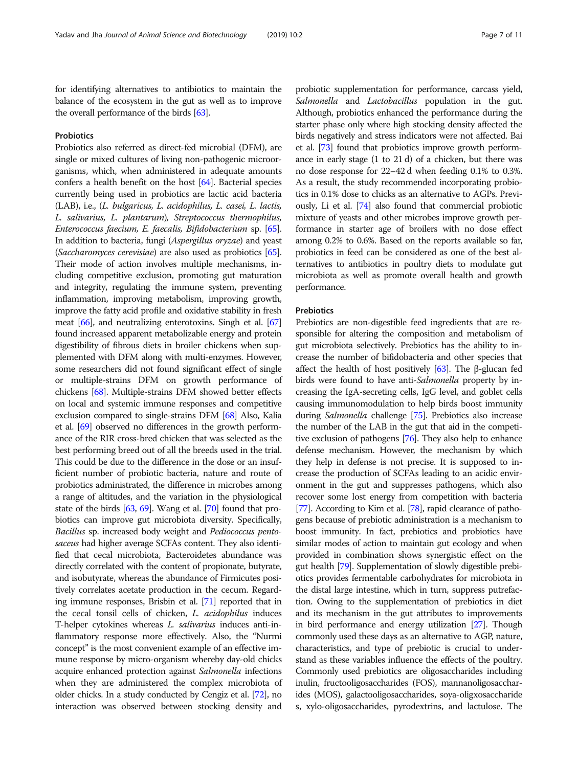for identifying alternatives to antibiotics to maintain the balance of the ecosystem in the gut as well as to improve the overall performance of the birds [\[63\]](#page-10-0).

# Probiotics

Probiotics also referred as direct-fed microbial (DFM), are single or mixed cultures of living non-pathogenic microorganisms, which, when administered in adequate amounts confers a health benefit on the host [\[64\]](#page-10-0). Bacterial species currently being used in probiotics are lactic acid bacteria (LAB), i.e., (L. bulgaricus, L. acidophilus, L. casei, L. lactis, L. salivarius, L. plantarum), Streptococcus thermophilus, Enterococcus faecium, E. faecalis, Bifidobacterium sp. [\[65](#page-10-0)]. In addition to bacteria, fungi (Aspergillus oryzae) and yeast (Saccharomyces cerevisiae) are also used as probiotics [\[65](#page-10-0)]. Their mode of action involves multiple mechanisms, including competitive exclusion, promoting gut maturation and integrity, regulating the immune system, preventing inflammation, improving metabolism, improving growth, improve the fatty acid profile and oxidative stability in fresh meat [\[66\]](#page-10-0), and neutralizing enterotoxins. Singh et al. [\[67](#page-10-0)] found increased apparent metabolizable energy and protein digestibility of fibrous diets in broiler chickens when supplemented with DFM along with multi-enzymes. However, some researchers did not found significant effect of single or multiple-strains DFM on growth performance of chickens [\[68\]](#page-10-0). Multiple-strains DFM showed better effects on local and systemic immune responses and competitive exclusion compared to single-strains DFM [\[68\]](#page-10-0) Also, Kalia et al. [[69](#page-10-0)] observed no differences in the growth performance of the RIR cross-bred chicken that was selected as the best performing breed out of all the breeds used in the trial. This could be due to the difference in the dose or an insufficient number of probiotic bacteria, nature and route of probiotics administrated, the difference in microbes among a range of altitudes, and the variation in the physiological state of the birds [[63](#page-10-0), [69\]](#page-10-0). Wang et al. [\[70\]](#page-10-0) found that probiotics can improve gut microbiota diversity. Specifically, Bacillus sp. increased body weight and Pediococcus pentosaceus had higher average SCFAs content. They also identified that cecal microbiota, Bacteroidetes abundance was directly correlated with the content of propionate, butyrate, and isobutyrate, whereas the abundance of Firmicutes positively correlates acetate production in the cecum. Regarding immune responses, Brisbin et al. [[71\]](#page-10-0) reported that in the cecal tonsil cells of chicken, L. acidophilus induces T-helper cytokines whereas L. salivarius induces anti-inflammatory response more effectively. Also, the "Nurmi concept" is the most convenient example of an effective immune response by micro-organism whereby day-old chicks acquire enhanced protection against Salmonella infections when they are administered the complex microbiota of older chicks. In a study conducted by Cengiz et al. [[72](#page-10-0)], no interaction was observed between stocking density and probiotic supplementation for performance, carcass yield, Salmonella and *Lactobacillus* population in the gut. Although, probiotics enhanced the performance during the starter phase only where high stocking density affected the birds negatively and stress indicators were not affected. Bai et al. [\[73](#page-10-0)] found that probiotics improve growth performance in early stage (1 to 21 d) of a chicken, but there was no dose response for 22–42 d when feeding 0.1% to 0.3%. As a result, the study recommended incorporating probiotics in 0.1% dose to chicks as an alternative to AGPs. Previously, Li et al. [\[74\]](#page-10-0) also found that commercial probiotic mixture of yeasts and other microbes improve growth performance in starter age of broilers with no dose effect among 0.2% to 0.6%. Based on the reports available so far, probiotics in feed can be considered as one of the best alternatives to antibiotics in poultry diets to modulate gut microbiota as well as promote overall health and growth performance.

## **Prehintics**

Prebiotics are non-digestible feed ingredients that are responsible for altering the composition and metabolism of gut microbiota selectively. Prebiotics has the ability to increase the number of bifidobacteria and other species that affect the health of host positively  $[63]$ . The β-glucan fed birds were found to have anti-Salmonella property by increasing the IgA-secreting cells, IgG level, and goblet cells causing immunomodulation to help birds boost immunity during Salmonella challenge [\[75\]](#page-10-0). Prebiotics also increase the number of the LAB in the gut that aid in the competitive exclusion of pathogens [\[76\]](#page-10-0). They also help to enhance defense mechanism. However, the mechanism by which they help in defense is not precise. It is supposed to increase the production of SCFAs leading to an acidic environment in the gut and suppresses pathogens, which also recover some lost energy from competition with bacteria [[77](#page-10-0)]. According to Kim et al. [\[78](#page-10-0)], rapid clearance of pathogens because of prebiotic administration is a mechanism to boost immunity. In fact, prebiotics and probiotics have similar modes of action to maintain gut ecology and when provided in combination shows synergistic effect on the gut health [\[79\]](#page-10-0). Supplementation of slowly digestible prebiotics provides fermentable carbohydrates for microbiota in the distal large intestine, which in turn, suppress putrefaction. Owing to the supplementation of prebiotics in diet and its mechanism in the gut attributes to improvements in bird performance and energy utilization [\[27\]](#page-9-0). Though commonly used these days as an alternative to AGP, nature, characteristics, and type of prebiotic is crucial to understand as these variables influence the effects of the poultry. Commonly used prebiotics are oligosaccharides including inulin, fructooligosaccharides (FOS), mannanoligosaccharides (MOS), galactooligosaccharides, soya-oligxosaccharide s, xylo-oligosaccharides, pyrodextrins, and lactulose. The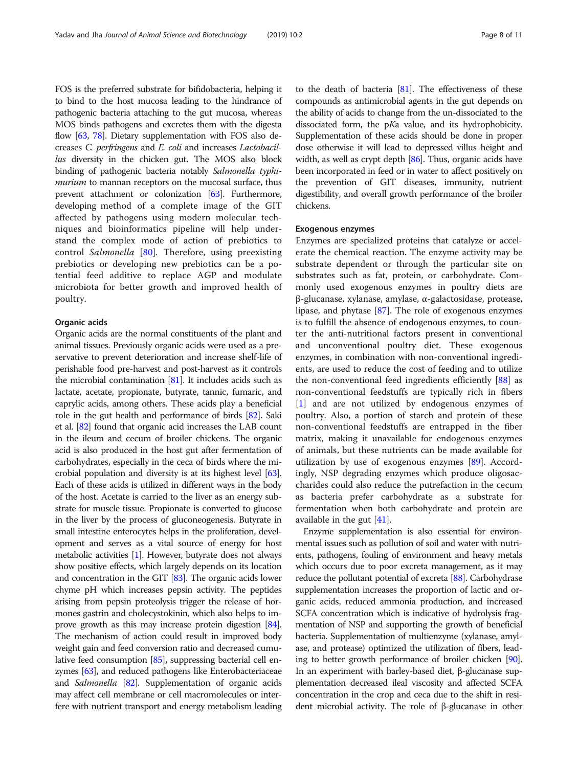FOS is the preferred substrate for bifidobacteria, helping it to bind to the host mucosa leading to the hindrance of pathogenic bacteria attaching to the gut mucosa, whereas MOS binds pathogens and excretes them with the digesta flow [\[63,](#page-10-0) [78](#page-10-0)]. Dietary supplementation with FOS also decreases C. perfringens and E. coli and increases Lactobacillus diversity in the chicken gut. The MOS also block binding of pathogenic bacteria notably Salmonella typhimurium to mannan receptors on the mucosal surface, thus prevent attachment or colonization [\[63\]](#page-10-0). Furthermore, developing method of a complete image of the GIT affected by pathogens using modern molecular techniques and bioinformatics pipeline will help understand the complex mode of action of prebiotics to control Salmonella [\[80](#page-10-0)]. Therefore, using preexisting prebiotics or developing new prebiotics can be a potential feed additive to replace AGP and modulate microbiota for better growth and improved health of poultry.

#### Organic acids

Organic acids are the normal constituents of the plant and animal tissues. Previously organic acids were used as a preservative to prevent deterioration and increase shelf-life of perishable food pre-harvest and post-harvest as it controls the microbial contamination  $[81]$  $[81]$ . It includes acids such as lactate, acetate, propionate, butyrate, tannic, fumaric, and caprylic acids, among others. These acids play a beneficial role in the gut health and performance of birds [\[82\]](#page-10-0). Saki et al. [[82](#page-10-0)] found that organic acid increases the LAB count in the ileum and cecum of broiler chickens. The organic acid is also produced in the host gut after fermentation of carbohydrates, especially in the ceca of birds where the microbial population and diversity is at its highest level [\[63](#page-10-0)]. Each of these acids is utilized in different ways in the body of the host. Acetate is carried to the liver as an energy substrate for muscle tissue. Propionate is converted to glucose in the liver by the process of gluconeogenesis. Butyrate in small intestine enterocytes helps in the proliferation, development and serves as a vital source of energy for host metabolic activities [[1](#page-9-0)]. However, butyrate does not always show positive effects, which largely depends on its location and concentration in the GIT [\[83](#page-10-0)]. The organic acids lower chyme pH which increases pepsin activity. The peptides arising from pepsin proteolysis trigger the release of hormones gastrin and cholecystokinin, which also helps to im-prove growth as this may increase protein digestion [\[84](#page-10-0)]. The mechanism of action could result in improved body weight gain and feed conversion ratio and decreased cumulative feed consumption [\[85](#page-10-0)], suppressing bacterial cell enzymes [\[63](#page-10-0)], and reduced pathogens like Enterobacteriaceae and Salmonella [[82](#page-10-0)]. Supplementation of organic acids may affect cell membrane or cell macromolecules or interfere with nutrient transport and energy metabolism leading to the death of bacteria [\[81\]](#page-10-0). The effectiveness of these compounds as antimicrobial agents in the gut depends on the ability of acids to change from the un-dissociated to the dissociated form, the pKa value, and its hydrophobicity. Supplementation of these acids should be done in proper dose otherwise it will lead to depressed villus height and width, as well as crypt depth [\[86\]](#page-10-0). Thus, organic acids have been incorporated in feed or in water to affect positively on the prevention of GIT diseases, immunity, nutrient digestibility, and overall growth performance of the broiler chickens.

#### Exogenous enzymes

Enzymes are specialized proteins that catalyze or accelerate the chemical reaction. The enzyme activity may be substrate dependent or through the particular site on substrates such as fat, protein, or carbohydrate. Commonly used exogenous enzymes in poultry diets are β-glucanase, xylanase, amylase, α-galactosidase, protease, lipase, and phytase [[87\]](#page-10-0). The role of exogenous enzymes is to fulfill the absence of endogenous enzymes, to counter the anti-nutritional factors present in conventional and unconventional poultry diet. These exogenous enzymes, in combination with non-conventional ingredients, are used to reduce the cost of feeding and to utilize the non-conventional feed ingredients efficiently [[88](#page-10-0)] as non-conventional feedstuffs are typically rich in fibers [[1\]](#page-9-0) and are not utilized by endogenous enzymes of poultry. Also, a portion of starch and protein of these non-conventional feedstuffs are entrapped in the fiber matrix, making it unavailable for endogenous enzymes of animals, but these nutrients can be made available for utilization by use of exogenous enzymes [[89](#page-10-0)]. Accordingly, NSP degrading enzymes which produce oligosaccharides could also reduce the putrefaction in the cecum as bacteria prefer carbohydrate as a substrate for fermentation when both carbohydrate and protein are available in the gut [\[41](#page-9-0)].

Enzyme supplementation is also essential for environmental issues such as pollution of soil and water with nutrients, pathogens, fouling of environment and heavy metals which occurs due to poor excreta management, as it may reduce the pollutant potential of excreta [\[88\]](#page-10-0). Carbohydrase supplementation increases the proportion of lactic and organic acids, reduced ammonia production, and increased SCFA concentration which is indicative of hydrolysis fragmentation of NSP and supporting the growth of beneficial bacteria. Supplementation of multienzyme (xylanase, amylase, and protease) optimized the utilization of fibers, leading to better growth performance of broiler chicken [\[90](#page-10-0)]. In an experiment with barley-based diet, β-glucanase supplementation decreased ileal viscosity and affected SCFA concentration in the crop and ceca due to the shift in resident microbial activity. The role of β-glucanase in other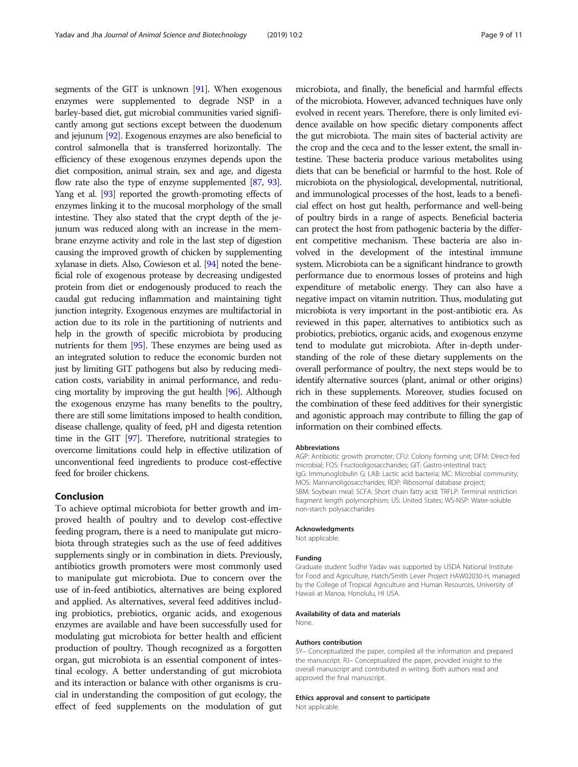segments of the GIT is unknown [[91](#page-10-0)]. When exogenous enzymes were supplemented to degrade NSP in a barley-based diet, gut microbial communities varied significantly among gut sections except between the duodenum and jejunum [[92](#page-10-0)]. Exogenous enzymes are also beneficial to control salmonella that is transferred horizontally. The efficiency of these exogenous enzymes depends upon the diet composition, animal strain, sex and age, and digesta flow rate also the type of enzyme supplemented [\[87,](#page-10-0) [93](#page-10-0)]. Yang et al. [[93](#page-10-0)] reported the growth-promoting effects of enzymes linking it to the mucosal morphology of the small intestine. They also stated that the crypt depth of the jejunum was reduced along with an increase in the membrane enzyme activity and role in the last step of digestion causing the improved growth of chicken by supplementing xylanase in diets. Also, Cowieson et al. [\[94\]](#page-10-0) noted the beneficial role of exogenous protease by decreasing undigested protein from diet or endogenously produced to reach the caudal gut reducing inflammation and maintaining tight junction integrity. Exogenous enzymes are multifactorial in action due to its role in the partitioning of nutrients and help in the growth of specific microbiota by producing nutrients for them [[95](#page-10-0)]. These enzymes are being used as an integrated solution to reduce the economic burden not just by limiting GIT pathogens but also by reducing medication costs, variability in animal performance, and reducing mortality by improving the gut health [\[96\]](#page-10-0). Although the exogenous enzyme has many benefits to the poultry, there are still some limitations imposed to health condition, disease challenge, quality of feed, pH and digesta retention time in the GIT [[97](#page-10-0)]. Therefore, nutritional strategies to overcome limitations could help in effective utilization of unconventional feed ingredients to produce cost-effective feed for broiler chickens.

# Conclusion

To achieve optimal microbiota for better growth and improved health of poultry and to develop cost-effective feeding program, there is a need to manipulate gut microbiota through strategies such as the use of feed additives supplements singly or in combination in diets. Previously, antibiotics growth promoters were most commonly used to manipulate gut microbiota. Due to concern over the use of in-feed antibiotics, alternatives are being explored and applied. As alternatives, several feed additives including probiotics, prebiotics, organic acids, and exogenous enzymes are available and have been successfully used for modulating gut microbiota for better health and efficient production of poultry. Though recognized as a forgotten organ, gut microbiota is an essential component of intestinal ecology. A better understanding of gut microbiota and its interaction or balance with other organisms is crucial in understanding the composition of gut ecology, the effect of feed supplements on the modulation of gut microbiota, and finally, the beneficial and harmful effects of the microbiota. However, advanced techniques have only evolved in recent years. Therefore, there is only limited evidence available on how specific dietary components affect the gut microbiota. The main sites of bacterial activity are the crop and the ceca and to the lesser extent, the small intestine. These bacteria produce various metabolites using diets that can be beneficial or harmful to the host. Role of microbiota on the physiological, developmental, nutritional, and immunological processes of the host, leads to a beneficial effect on host gut health, performance and well-being of poultry birds in a range of aspects. Beneficial bacteria can protect the host from pathogenic bacteria by the different competitive mechanism. These bacteria are also involved in the development of the intestinal immune system. Microbiota can be a significant hindrance to growth performance due to enormous losses of proteins and high expenditure of metabolic energy. They can also have a negative impact on vitamin nutrition. Thus, modulating gut microbiota is very important in the post-antibiotic era. As reviewed in this paper, alternatives to antibiotics such as probiotics, prebiotics, organic acids, and exogenous enzyme tend to modulate gut microbiota. After in-depth understanding of the role of these dietary supplements on the overall performance of poultry, the next steps would be to identify alternative sources (plant, animal or other origins) rich in these supplements. Moreover, studies focused on the combination of these feed additives for their synergistic and agonistic approach may contribute to filling the gap of information on their combined effects.

#### Abbreviations

AGP: Antibiotic growth promoter; CFU: Colony forming unit; DFM: Direct-fed microbial; FOS: Fructooligosaccharides; GIT: Gastro-intestinal tract; IgG: Immunoglobulin G; LAB: Lactic acid bacteria; MC: Microbial community; MOS: Mannanoligosaccharides; RDP: Ribosomal database project; SBM: Soybean meal; SCFA: Short chain fatty acid; TRFLP: Terminal restriction fragment length polymorphism; US: United States; WS-NSP: Water-soluble non-starch polysaccharides

# Acknowledgments

Not applicable.

#### Funding

Graduate student Sudhir Yadav was supported by USDA National Institute for Food and Agriculture, Hatch/Smith Lever Project HAW02030-H, managed by the College of Tropical Agriculture and Human Resources, University of Hawaii at Manoa, Honolulu, HI USA.

#### Availability of data and materials

None.

#### Authors contribution

SY– Conceptualized the paper, compiled all the information and prepared the manuscript. RJ– Conceptualized the paper, provided insight to the overall manuscript and contributed in writing. Both authors read and approved the final manuscript.

#### Ethics approval and consent to participate

Not applicable.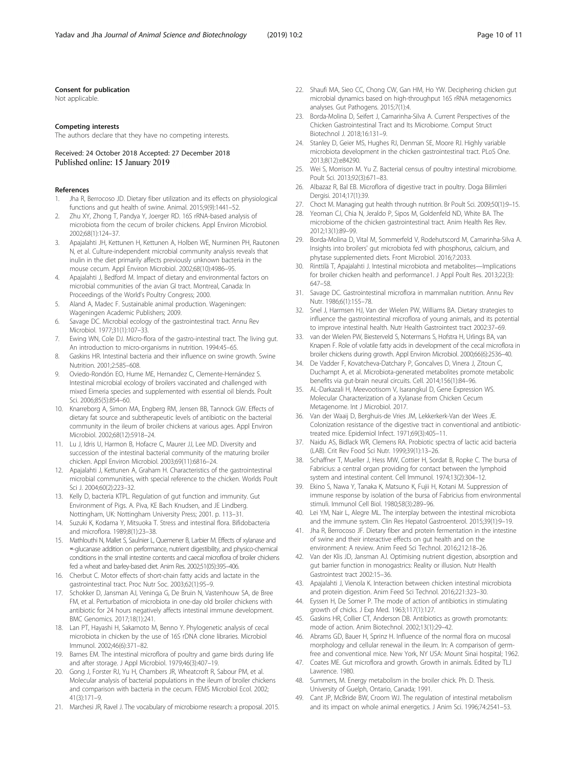#### <span id="page-9-0"></span>Consent for publication

Not applicable.

#### Competing interests

The authors declare that they have no competing interests.

Received: 24 October 2018 Accepted: 27 December 2018 Published online: 15 January 2019

#### References

- Jha R, Berrocoso JD. Dietary fiber utilization and its effects on physiological functions and gut health of swine. Animal. 2015;9(9):1441–52.
- 2. Zhu XY, Zhong T, Pandya Y, Joerger RD. 16S rRNA-based analysis of microbiota from the cecum of broiler chickens. Appl Environ Microbiol. 2002;68(1):124–37.
- 3. Apajalahti JH, Kettunen H, Kettunen A, Holben WE, Nurminen PH, Rautonen N, et al. Culture-independent microbial community analysis reveals that inulin in the diet primarily affects previously unknown bacteria in the mouse cecum. Appl Environ Microbiol. 2002;68(10):4986–95.
- 4. Apajalahti J, Bedford M. Impact of dietary and environmental factors on microbial communities of the avian GI tract. Montreal, Canada: In Proceedings of the World's Poultry Congress; 2000.
- 5. Aland A, Madec F. Sustainable animal production. Wageningen: Wageningen Academic Publishers; 2009.
- 6. Savage DC. Microbial ecology of the gastrointestinal tract. Annu Rev Microbiol. 1977;31(1):107–33.
- 7. Ewing WN, Cole DJ. Micro-flora of the gastro-intestinal tract. The living gut. An introduction to micro-organisms in nutrition. 1994:45–65.
- 8. Gaskins HR. Intestinal bacteria and their influence on swine growth. Swine Nutrition. 2001;2:585–608.
- 9. Oviedo-Rondón EO, Hume ME, Hernandez C, Clemente-Hernández S. Intestinal microbial ecology of broilers vaccinated and challenged with mixed Eimeria species and supplemented with essential oil blends. Poult Sci. 2006;85(5):854–60.
- 10. Knarreborg A, Simon MA, Engberg RM, Jensen BB, Tannock GW. Effects of dietary fat source and subtherapeutic levels of antibiotic on the bacterial community in the ileum of broiler chickens at various ages. Appl Environ Microbiol. 2002;68(12):5918–24.
- 11. Lu J, Idris U, Harmon B, Hofacre C, Maurer JJ, Lee MD. Diversity and succession of the intestinal bacterial community of the maturing broiler chicken. Appl Environ Microbiol. 2003;69(11):6816–24.
- 12. Apajalahti J, Kettunen A, Graham H. Characteristics of the gastrointestinal microbial communities, with special reference to the chicken. Worlds Poult Sci J. 2004;60(2):223–32.
- 13. Kelly D, bacteria KTPL. Regulation of gut function and immunity. Gut Environment of Pigs. A. Piva, KE Bach Knudsen, and JE Lindberg. Nottingham, UK: Nottingham University Press; 2001. p. 113–31.
- 14. Suzuki K, Kodama Y, Mitsuoka T. Stress and intestinal flora. Bifidobacteria and microflora. 1989;8(1):23–38.
- 15. Mathlouthi N, Mallet S, Saulnier L, Quemener B, Larbier M. Effects of xylanase and ∝-glucanase addition on performance, nutrient digestibility, and physico-chemical conditions in the small intestine contents and caecal microflora of broiler chickens fed a wheat and barley-based diet. Anim Res. 2002;51(05):395–406.
- 16. Cherbut C. Motor effects of short-chain fatty acids and lactate in the gastrointestinal tract. Proc Nutr Soc. 2003;62(1):95–9.
- 17. Schokker D, Jansman AJ, Veninga G, De Bruin N, Vastenhouw SA, de Bree FM, et al. Perturbation of microbiota in one-day old broiler chickens with antibiotic for 24 hours negatively affects intestinal immune development. BMC Genomics. 2017;18(1):241.
- 18. Lan PT, Hayashi H, Sakamoto M, Benno Y. Phylogenetic analysis of cecal microbiota in chicken by the use of 16S rDNA clone libraries. Microbiol Immunol. 2002;46(6):371–82.
- 19. Barnes EM. The intestinal microflora of poultry and game birds during life and after storage. J Appl Microbiol. 1979;46(3):407–19.
- 20. Gong J, Forster RJ, Yu H, Chambers JR, Wheatcroft R, Sabour PM, et al. Molecular analysis of bacterial populations in the ileum of broiler chickens and comparison with bacteria in the cecum. FEMS Microbiol Ecol. 2002; 41(3):171–9.
- 21. Marchesi JR, Ravel J. The vocabulary of microbiome research: a proposal. 2015.
- 22. Shaufi MA, Sieo CC, Chong CW, Gan HM, Ho YW. Deciphering chicken gut microbial dynamics based on high-throughput 16S rRNA metagenomics analyses. Gut Pathogens. 2015;7(1):4.
- 23. Borda-Molina D, Seifert J, Camarinha-Silva A. Current Perspectives of the Chicken Gastrointestinal Tract and Its Microbiome. Comput Struct Biotechnol J. 2018;16:131–9.
- 24. Stanley D, Geier MS, Hughes RJ, Denman SE, Moore RJ. Highly variable microbiota development in the chicken gastrointestinal tract. PLoS One. 2013;8(12):e84290.
- 25. Wei S, Morrison M. Yu Z. Bacterial census of poultry intestinal microbiome. Poult Sci. 2013;92(3):671–83.
- 26. Albazaz R, Bal EB. Microflora of digestive tract in poultry. Doga Bilimleri Dergisi. 2014;17(1):39.
- 27. Choct M. Managing gut health through nutrition. Br Poult Sci. 2009;50(1):9–15.
- 28. Yeoman CJ, Chia N, Jeraldo P, Sipos M, Goldenfeld ND, White BA. The microbiome of the chicken gastrointestinal tract. Anim Health Res Rev. 2012;13(1):89–99.
- 29. Borda-Molina D, Vital M, Sommerfeld V, Rodehutscord M, Camarinha-Silva A. Insights into broilers' gut microbiota fed with phosphorus, calcium, and phytase supplemented diets. Front Microbiol. 2016;7:2033.
- 30. Rinttilä T, Apajalahti J. Intestinal microbiota and metabolites—Implications for broiler chicken health and performance1. J Appl Poult Res. 2013;22(3): 647–58.
- 31. Savage DC. Gastrointestinal microflora in mammalian nutrition. Annu Rev Nutr. 1986;6(1):155–78.
- 32. Snel J, Harmsen HJ, Van der Wielen PW, Williams BA. Dietary strategies to influence the gastrointestinal microflora of young animals, and its potential to improve intestinal health. Nutr Health Gastrointest tract 2002:37–69.
- 33. van der Wielen PW, Biesterveld S, Notermans S, Hofstra H, Urlings BA, van Knapen F. Role of volatile fatty acids in development of the cecal microflora in broiler chickens during growth. Appl Environ Microbiol. 2000;66(6):2536–40.
- 34. De Vadder F, Kovatcheva-Datchary P, Goncalves D, Vinera J, Zitoun C, Duchampt A, et al. Microbiota-generated metabolites promote metabolic benefits via gut-brain neural circuits. Cell. 2014;156(1):84–96.
- 35. AL-Darkazali H, Meevootisom V, Isarangkul D, Gene Expression WS. Molecular Characterization of a Xylanase from Chicken Cecum Metagenome. Int J Microbiol. 2017.
- 36. Van der Waaij D, Berghuis-de Vries JM, Lekkerkerk-Van der Wees JE. Colonization resistance of the digestive tract in conventional and antibiotictreated mice. Epidemiol Infect. 1971;69(3):405–11.
- 37. Naidu AS, Bidlack WR, Clemens RA. Probiotic spectra of lactic acid bacteria (LAB). Crit Rev Food Sci Nutr. 1999;39(1):13–26.
- Schaffner T, Mueller J, Hess MW, Cottier H, Sordat B, Ropke C. The bursa of Fabricius: a central organ providing for contact between the lymphoid system and intestinal content. Cell Immunol. 1974;13(2):304–12.
- 39. Ekino S, Nawa Y, Tanaka K, Matsuno K, Fujii H, Kotani M. Suppression of immune response by isolation of the bursa of Fabricius from environmental stimuli. Immunol Cell Biol. 1980;58(3):289–96.
- 40. Lei YM, Nair L, Alegre ML. The interplay between the intestinal microbiota and the immune system. Clin Res Hepatol Gastroenterol. 2015;39(1):9–19.
- 41. Jha R, Berrocoso JF. Dietary fiber and protein fermentation in the intestine of swine and their interactive effects on gut health and on the environment: A review. Anim Feed Sci Technol. 2016;212:18–26.
- 42. Van der Klis JD, Jansman AJ. Optimising nutrient digestion, absorption and gut barrier function in monogastrics: Reality or illusion. Nutr Health Gastrointest tract 2002:15–36.
- 43. Apajalahti J, Vienola K. Interaction between chicken intestinal microbiota and protein digestion. Anim Feed Sci Technol. 2016;221:323–30.
- 44. Eyssen H, De Somer P. The mode of action of antibiotics in stimulating growth of chicks. J Exp Med. 1963;117(1):127.
- Gaskins HR, Collier CT, Anderson DB. Antibiotics as growth promotants: mode of action. Anim Biotechnol. 2002;13(1):29–42.
- 46. Abrams GD, Bauer H, Sprinz H. Influence of the normal flora on mucosal morphology and cellular renewal in the ileum. In: A comparison of germfree and conventional mice. New York, NY USA: Mount Sinai hospital; 1962.
- 47. Coates ME. Gut microflora and growth. Growth in animals. Edited by TLJ Lawrence. 1980.
- 48. Summers, M. Energy metabolism in the broiler chick. Ph. D. Thesis. University of Guelph, Ontario, Canada; 1991.
- 49. Cant JP, McBride BW, Croom WJ. The regulation of intestinal metabolism and its impact on whole animal energetics. J Anim Sci. 1996;74:2541–53.